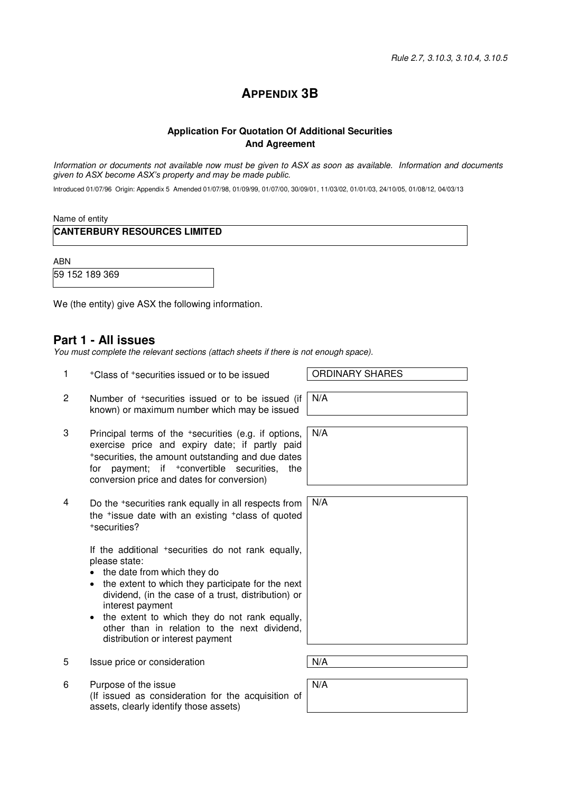### **APPENDIX 3B**

#### **Application For Quotation Of Additional Securities And Agreement**

Information or documents not available now must be given to ASX as soon as available. Information and documents *given to ASX become ASX's property and may be made public.*

Introduced 01/07/96 Origin: Appendix 5 Amended 01/07/98, 01/09/99, 01/07/00, 30/09/01, 11/03/02, 01/01/03, 24/10/05, 01/08/12, 04/03/13

Name of entity

**CANTERBURY RESOURCES LIMITED** 

ABN

59 152 189 369

We (the entity) give ASX the following information.

#### **Part 1 - All issues**

You must complete the relevant sections (attach sheets if there is not enough space).

- 1 +Class of +securities issued or to be issued ORDINARY SHARES
- 2 Number of +securities issued or to be issued (if known) or maximum number which may be issued
- 3 Principal terms of the +securities (e.g. if options, exercise price and expiry date; if partly paid <sup>+</sup>securities, the amount outstanding and due dates for payment; if +convertible securities, the conversion price and dates for conversion)
- 4 Do the +securities rank equally in all respects from the +issue date with an existing +class of quoted <sup>+</sup>securities?

If the additional +securities do not rank equally, please state:

• the date from which they do

assets, clearly identify those assets)

- the extent to which they participate for the next dividend, (in the case of a trust, distribution) or interest payment
- the extent to which they do not rank equally, other than in relation to the next dividend, distribution or interest payment
- 5 Issue price or consideration  $N/A$

6 Purpose of the issue

(If issued as consideration for the acquisition of

N/A

| ı | N/A |
|---|-----|
|   |     |
| ë |     |
| , |     |

N/A

N/A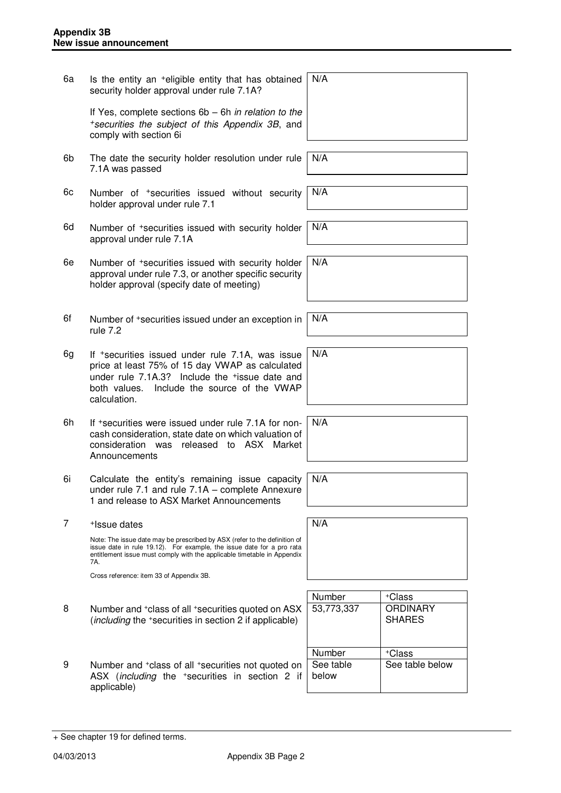6a Is the entity an +eligible entity that has obtained security holder approval under rule 7.1A? If Yes, complete sections 6b – 6h in relation to the <sup>+</sup>securities the subject of this Appendix 3B, and comply with section 6i N/A 6b The date the security holder resolution under rule 7.1A was passed N/A 6c Number of +securities issued without security holder approval under rule 7.1 N/A 6d Number of +securities issued with security holder approval under rule 7.1A N/A 6e Number of +securities issued with security holder approval under rule 7.3, or another specific security holder approval (specify date of meeting) N/A 6f Number of +securities issued under an exception in rule 7.2 N/A 6g If +securities issued under rule 7.1A, was issue price at least 75% of 15 day VWAP as calculated under rule 7.1A.3? Include the +issue date and both values. Include the source of the VWAP calculation. N/A 6h If +securities were issued under rule 7.1A for noncash consideration, state date on which valuation of consideration was released to ASX Market **Announcements** N/A 6i Calculate the entity's remaining issue capacity under rule 7.1 and rule 7.1A – complete Annexure 1 and release to ASX Market Announcements N/A 7 +Issue dates Note: The issue date may be prescribed by ASX (refer to the definition of issue date in rule 19.12). For example, the issue date for a pro rata entitlement issue must comply with the applicable timetable in Appendix 7A. Cross reference: item 33 of Appendix 3B. N/A Number | +Class 8 Number and <sup>+</sup>class of all <sup>+</sup>securities quoted on ASX (including the <sup>+</sup>securities in section 2 if applicable) 53,773,337 ORDINARY SHARES Number | +Class 9 Number and <sup>+</sup>class of all <sup>+</sup>securities not quoted on ASX (*including* the <sup>+</sup>securities in section 2 if applicable) See table below See table below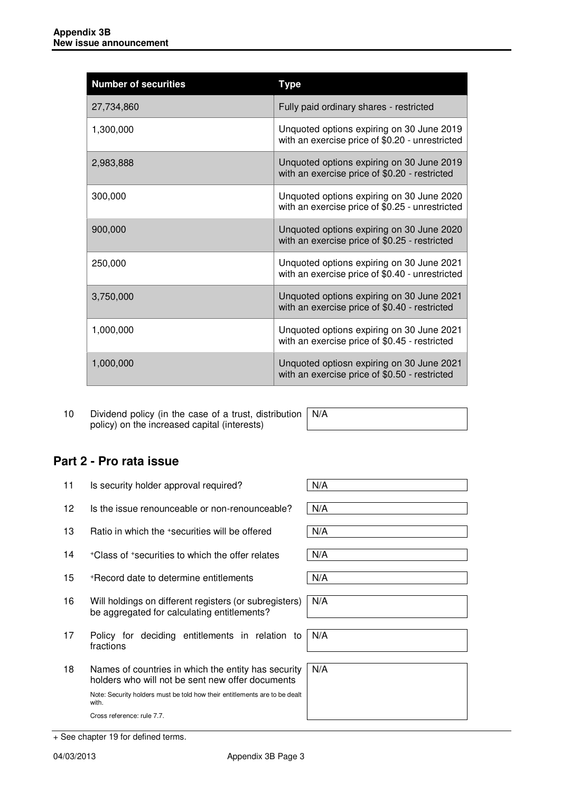| <b>Number of securities</b> | Type                                                                                         |
|-----------------------------|----------------------------------------------------------------------------------------------|
| 27,734,860                  | Fully paid ordinary shares - restricted                                                      |
| 1,300,000                   | Unquoted options expiring on 30 June 2019<br>with an exercise price of \$0.20 - unrestricted |
| 2,983,888                   | Unquoted options expiring on 30 June 2019<br>with an exercise price of \$0.20 - restricted   |
| 300,000                     | Unquoted options expiring on 30 June 2020<br>with an exercise price of \$0.25 - unrestricted |
| 900,000                     | Unquoted options expiring on 30 June 2020<br>with an exercise price of \$0.25 - restricted   |
| 250,000                     | Unquoted options expiring on 30 June 2021<br>with an exercise price of \$0.40 - unrestricted |
| 3,750,000                   | Unquoted options expiring on 30 June 2021<br>with an exercise price of \$0.40 - restricted   |
| 1,000,000                   | Unquoted options expiring on 30 June 2021<br>with an exercise price of \$0.45 - restricted   |
| 1,000,000                   | Unquoted optiosn expiring on 30 June 2021<br>with an exercise price of \$0.50 - restricted   |

10 Dividend policy (in the case of a trust, distribution policy) on the increased capital (interests) N/A

# **Part 2 - Pro rata issue**

| 11 | Is security holder approval required?                                                                   | N/A |
|----|---------------------------------------------------------------------------------------------------------|-----|
| 12 | Is the issue renounceable or non-renounceable?                                                          | N/A |
| 13 | Ratio in which the +securities will be offered                                                          | N/A |
| 14 | +Class of +securities to which the offer relates                                                        | N/A |
| 15 | *Record date to determine entitlements                                                                  | N/A |
| 16 | Will holdings on different registers (or subregisters)<br>be aggregated for calculating entitlements?   | N/A |
| 17 | Policy for deciding entitlements in relation to<br>fractions                                            | N/A |
| 18 | Names of countries in which the entity has security<br>holders who will not be sent new offer documents | N/A |
|    | Note: Security holders must be told how their entitlements are to be dealt<br>with.                     |     |
|    | Cross reference: rule 7.7.                                                                              |     |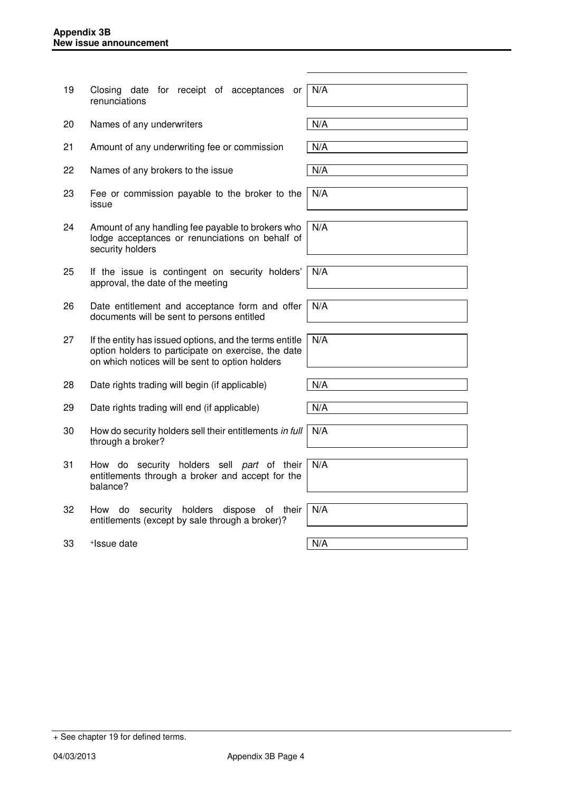| 19 | Closing date for receipt of acceptances<br>or<br>renunciations                                                                                                    | N/A |
|----|-------------------------------------------------------------------------------------------------------------------------------------------------------------------|-----|
| 20 | Names of any underwriters                                                                                                                                         | N/A |
| 21 | Amount of any underwriting fee or commission                                                                                                                      | N/A |
| 22 | Names of any brokers to the issue                                                                                                                                 | N/A |
| 23 | Fee or commission payable to the broker to the<br>issue                                                                                                           | N/A |
| 24 | Amount of any handling fee payable to brokers who<br>lodge acceptances or renunciations on behalf of<br>security holders                                          | N/A |
| 25 | If the issue is contingent on security holders'<br>approval, the date of the meeting                                                                              | N/A |
| 26 | Date entitlement and acceptance form and offer<br>documents will be sent to persons entitled                                                                      | N/A |
| 27 | If the entity has issued options, and the terms entitle<br>option holders to participate on exercise, the date<br>on which notices will be sent to option holders | N/A |
| 28 | Date rights trading will begin (if applicable)                                                                                                                    | N/A |
| 29 | Date rights trading will end (if applicable)                                                                                                                      | N/A |
| 30 | How do security holders sell their entitlements in full<br>through a broker?                                                                                      | N/A |
| 31 | How do security holders sell part of their<br>entitlements through a broker and accept for the<br>balance?                                                        | N/A |
| 32 | security holders<br>dispose<br>How<br>do<br>of<br>their<br>entitlements (except by sale through a broker)?                                                        | N/A |
| 33 | +Issue date                                                                                                                                                       | N/A |

+ See chapter 19 for defined terms.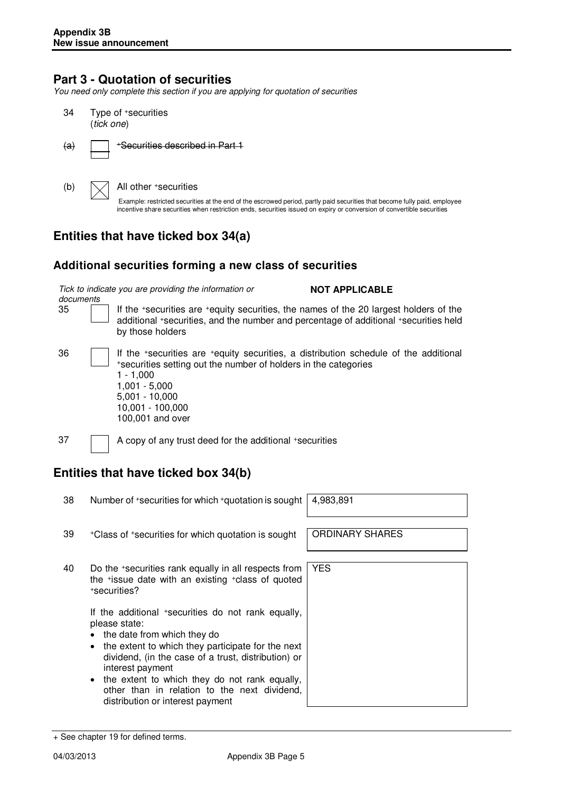### **Part 3 - Quotation of securities**

You need only complete this section if you are applying for quotation of securities

34 Type of <sup>+</sup>securities (tick one)

 $(a)$  | +Securities described in Part 1

(b)  $\bigvee$  All other +securities

Example: restricted securities at the end of the escrowed period, partly paid securities that become fully paid, employee incentive share securities when restriction ends, securities issued on expiry or conversion of convertible securities

### **Entities that have ticked box 34(a)**

#### **Additional securities forming a new class of securities**

Tick to indicate you are providing the information or

**NOT APPLICABLE** 

documents

35 If the <sup>+</sup>securities are <sup>+</sup>equity securities, the names of the 20 largest holders of the additional <sup>+</sup>securities, and the number and percentage of additional <sup>+</sup>securities held by those holders

36 If the <sup>+</sup>securities are <sup>+</sup>equity securities, a distribution schedule of the additional <sup>+</sup>securities setting out the number of holders in the categories 1 - 1,000 1,001 - 5,000 5,001 - 10,000 10,001 - 100,000

100,001 and over

37 A copy of any trust deed for the additional +securities

## **Entities that have ticked box 34(b)**

38 Number of +securities for which +quotation is sought | 4,983,891

YES

- 39 +Class of +securities for which quotation is sought | ORDINARY SHARES
- 40 Do the <sup>+</sup>securities rank equally in all respects from the <sup>+</sup>issue date with an existing <sup>+</sup>class of quoted <sup>+</sup>securities?

If the additional +securities do not rank equally, please state:

- the date from which they do
- the extent to which they participate for the next dividend, (in the case of a trust, distribution) or interest payment
- the extent to which they do not rank equally, other than in relation to the next dividend, distribution or interest payment

<sup>+</sup> See chapter 19 for defined terms.